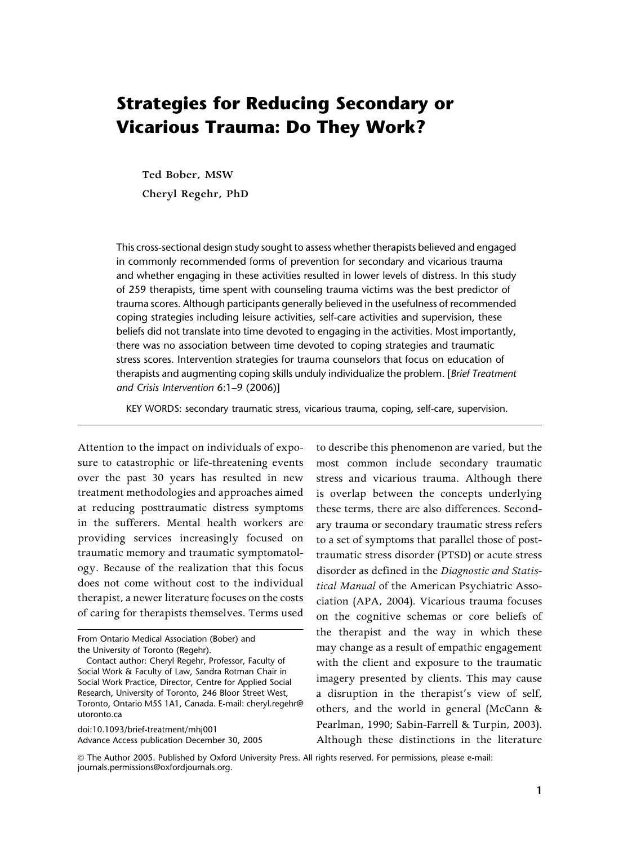# Strategies for Reducing Secondary or Vicarious Trauma: Do They Work?

**Ted Bober, MSW Cheryl Regehr, PhD**

This cross-sectional design study sought to assess whether therapists believed and engaged in commonly recommended forms of prevention for secondary and vicarious trauma and whether engaging in these activities resulted in lower levels of distress. In this study of 259 therapists, time spent with counseling trauma victims was the best predictor of trauma scores. Although participants generally believed in the usefulness of recommended coping strategies including leisure activities, self-care activities and supervision, these beliefs did not translate into time devoted to engaging in the activities. Most importantly, there was no association between time devoted to coping strategies and traumatic stress scores. Intervention strategies for trauma counselors that focus on education of therapists and augmenting coping skills unduly individualize the problem. [Brief Treatment and Crisis Intervention 6:1–9 (2006)]

KEY WORDS: secondary traumatic stress, vicarious trauma, coping, self-care, supervision.

Attention to the impact on individuals of exposure to catastrophic or life-threatening events over the past 30 years has resulted in new treatment methodologies and approaches aimed at reducing posttraumatic distress symptoms in the sufferers. Mental health workers are providing services increasingly focused on traumatic memory and traumatic symptomatology. Because of the realization that this focus does not come without cost to the individual therapist, a newer literature focuses on the costs of caring for therapists themselves. Terms used

doi:10.1093/brief-treatment/mhj001 Advance Access publication December 30, 2005

to describe this phenomenon are varied, but the most common include secondary traumatic stress and vicarious trauma. Although there is overlap between the concepts underlying these terms, there are also differences. Secondary trauma or secondary traumatic stress refers to a set of symptoms that parallel those of posttraumatic stress disorder (PTSD) or acute stress disorder as defined in the *Diagnostic and Statistical Manual* of the American Psychiatric Association (APA, 2004). Vicarious trauma focuses on the cognitive schemas or core beliefs of the therapist and the way in which these may change as a result of empathic engagement with the client and exposure to the traumatic imagery presented by clients. This may cause a disruption in the therapist's view of self, others, and the world in general (McCann & Pearlman, 1990; Sabin-Farrell & Turpin, 2003). Although these distinctions in the literature

*ª* The Author 2005. Published by Oxford University Press. All rights reserved. For permissions, please e-mail: journals.permissions@oxfordjournals.org.

From Ontario Medical Association (Bober) and the University of Toronto (Regehr).

Contact author: Cheryl Regehr, Professor, Faculty of Social Work & Faculty of Law, Sandra Rotman Chair in Social Work Practice, Director, Centre for Applied Social Research, University of Toronto, 246 Bloor Street West, Toronto, Ontario M5S 1A1, Canada. E-mail: cheryl.regehr@ utoronto.ca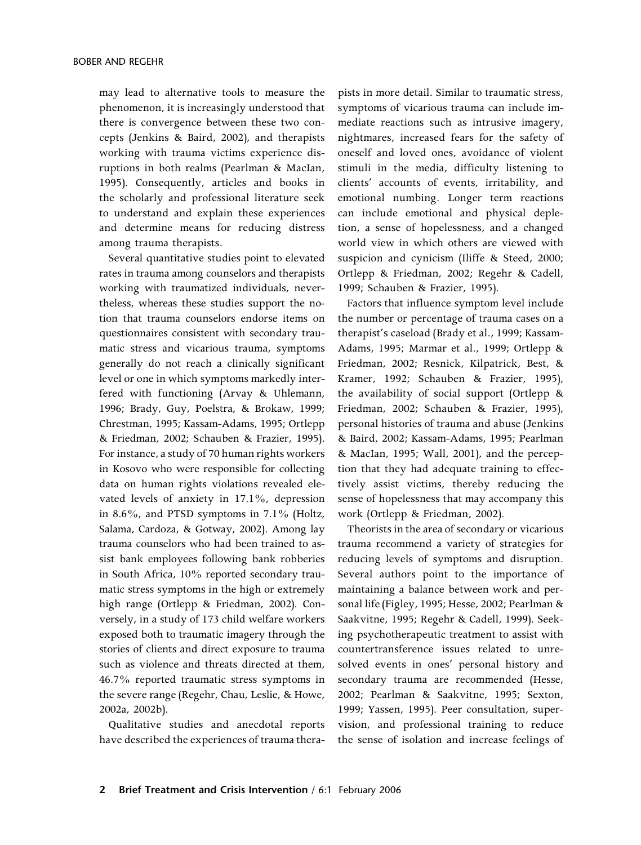may lead to alternative tools to measure the phenomenon, it is increasingly understood that there is convergence between these two concepts (Jenkins & Baird, 2002), and therapists working with trauma victims experience disruptions in both realms (Pearlman & MacIan, 1995). Consequently, articles and books in the scholarly and professional literature seek to understand and explain these experiences and determine means for reducing distress among trauma therapists.

Several quantitative studies point to elevated rates in trauma among counselors and therapists working with traumatized individuals, nevertheless, whereas these studies support the notion that trauma counselors endorse items on questionnaires consistent with secondary traumatic stress and vicarious trauma, symptoms generally do not reach a clinically significant level or one in which symptoms markedly interfered with functioning (Arvay & Uhlemann, 1996; Brady, Guy, Poelstra, & Brokaw, 1999; Chrestman, 1995; Kassam-Adams, 1995; Ortlepp & Friedman, 2002; Schauben & Frazier, 1995). For instance, a study of 70 human rights workers in Kosovo who were responsible for collecting data on human rights violations revealed elevated levels of anxiety in 17.1%, depression in 8.6%, and PTSD symptoms in 7.1% (Holtz, Salama, Cardoza, & Gotway, 2002). Among lay trauma counselors who had been trained to assist bank employees following bank robberies in South Africa, 10% reported secondary traumatic stress symptoms in the high or extremely high range (Ortlepp & Friedman, 2002). Conversely, in a study of 173 child welfare workers exposed both to traumatic imagery through the stories of clients and direct exposure to trauma such as violence and threats directed at them, 46.7% reported traumatic stress symptoms in the severe range (Regehr, Chau, Leslie, & Howe, 2002a, 2002b).

Qualitative studies and anecdotal reports have described the experiences of trauma therapists in more detail. Similar to traumatic stress, symptoms of vicarious trauma can include immediate reactions such as intrusive imagery, nightmares, increased fears for the safety of oneself and loved ones, avoidance of violent stimuli in the media, difficulty listening to clients' accounts of events, irritability, and emotional numbing. Longer term reactions can include emotional and physical depletion, a sense of hopelessness, and a changed world view in which others are viewed with suspicion and cynicism (Iliffe & Steed, 2000; Ortlepp & Friedman, 2002; Regehr & Cadell, 1999; Schauben & Frazier, 1995).

Factors that influence symptom level include the number or percentage of trauma cases on a therapist's caseload (Brady et al., 1999; Kassam-Adams, 1995; Marmar et al., 1999; Ortlepp & Friedman, 2002; Resnick, Kilpatrick, Best, & Kramer, 1992; Schauben & Frazier, 1995), the availability of social support (Ortlepp & Friedman, 2002; Schauben & Frazier, 1995), personal histories of trauma and abuse (Jenkins & Baird, 2002; Kassam-Adams, 1995; Pearlman & MacIan, 1995; Wall, 2001), and the perception that they had adequate training to effectively assist victims, thereby reducing the sense of hopelessness that may accompany this work (Ortlepp & Friedman, 2002).

Theorists in the area of secondary or vicarious trauma recommend a variety of strategies for reducing levels of symptoms and disruption. Several authors point to the importance of maintaining a balance between work and personal life (Figley, 1995; Hesse, 2002; Pearlman & Saakvitne, 1995; Regehr & Cadell, 1999). Seeking psychotherapeutic treatment to assist with countertransference issues related to unresolved events in ones' personal history and secondary trauma are recommended (Hesse, 2002; Pearlman & Saakvitne, 1995; Sexton, 1999; Yassen, 1995). Peer consultation, supervision, and professional training to reduce the sense of isolation and increase feelings of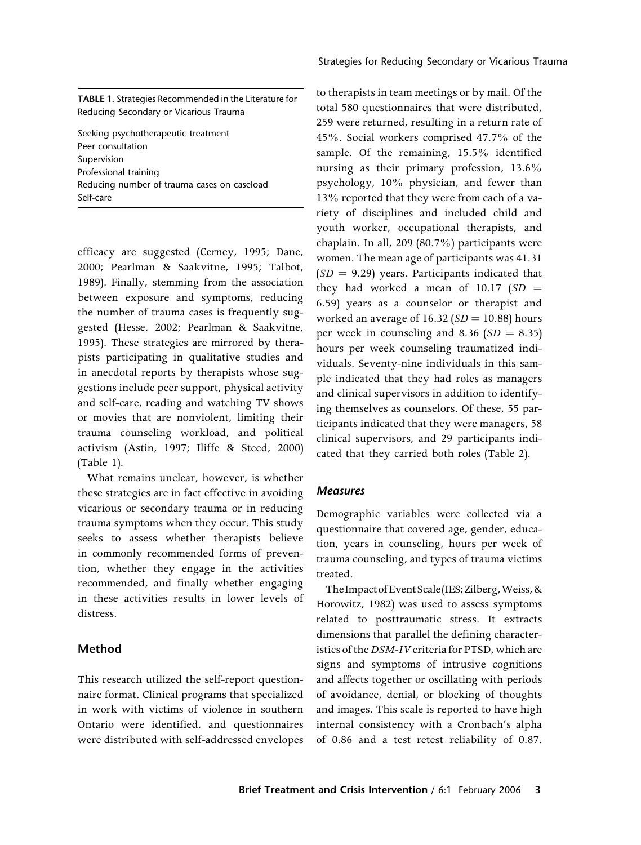Strategies for Reducing Secondary or Vicarious Trauma

TABLE 1. Strategies Recommended in the Literature for Reducing Secondary or Vicarious Trauma

Seeking psychotherapeutic treatment Peer consultation Supervision Professional training Reducing number of trauma cases on caseload Self-care

efficacy are suggested (Cerney, 1995; Dane, 2000; Pearlman & Saakvitne, 1995; Talbot, 1989). Finally, stemming from the association between exposure and symptoms, reducing the number of trauma cases is frequently suggested (Hesse, 2002; Pearlman & Saakvitne, 1995). These strategies are mirrored by therapists participating in qualitative studies and in anecdotal reports by therapists whose suggestions include peer support, physical activity and self-care, reading and watching TV shows or movies that are nonviolent, limiting their trauma counseling workload, and political activism (Astin, 1997; Iliffe & Steed, 2000) (Table 1).

What remains unclear, however, is whether these strategies are in fact effective in avoiding vicarious or secondary trauma or in reducing trauma symptoms when they occur. This study seeks to assess whether therapists believe in commonly recommended forms of prevention, whether they engage in the activities recommended, and finally whether engaging in these activities results in lower levels of distress.

## Method

This research utilized the self-report questionnaire format. Clinical programs that specialized in work with victims of violence in southern Ontario were identified, and questionnaires were distributed with self-addressed envelopes to therapists in team meetings or by mail. Of the total 580 questionnaires that were distributed, 259 were returned, resulting in a return rate of 45%. Social workers comprised 47.7% of the sample. Of the remaining, 15.5% identified nursing as their primary profession, 13.6% psychology, 10% physician, and fewer than 13% reported that they were from each of a variety of disciplines and included child and youth worker, occupational therapists, and chaplain. In all, 209 (80.7%) participants were women. The mean age of participants was 41.31  $(SD = 9.29)$  years. Participants indicated that they had worked a mean of  $10.17$  (*SD* = 6.59) years as a counselor or therapist and worked an average of  $16.32$  ( $SD = 10.88$ ) hours per week in counseling and 8.36  $(SD = 8.35)$ hours per week counseling traumatized individuals. Seventy-nine individuals in this sample indicated that they had roles as managers and clinical supervisors in addition to identifying themselves as counselors. Of these, 55 participants indicated that they were managers, 58 clinical supervisors, and 29 participants indicated that they carried both roles (Table 2).

#### Measures

Demographic variables were collected via a questionnaire that covered age, gender, education, years in counseling, hours per week of trauma counseling, and types of trauma victims treated.

The Impact of Event Scale (IES; Zilberg, Weiss, & Horowitz, 1982) was used to assess symptoms related to posttraumatic stress. It extracts dimensions that parallel the defining characteristics of the*DSM-IV*criteria for PTSD, which are signs and symptoms of intrusive cognitions and affects together or oscillating with periods of avoidance, denial, or blocking of thoughts and images. This scale is reported to have high internal consistency with a Cronbach's alpha of 0.86 and a test–retest reliability of 0.87.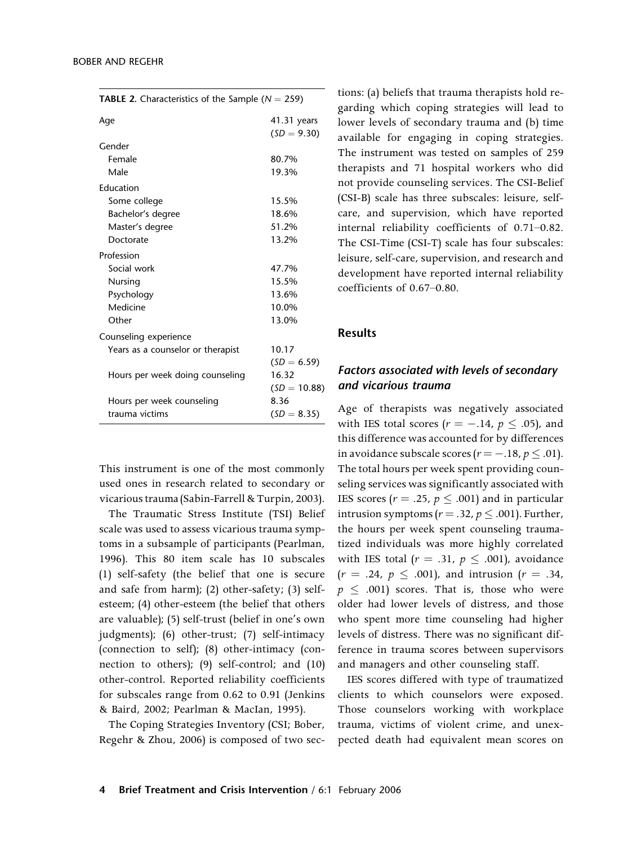| <b>TABLE 2.</b> Characteristics of the Sample ( $N = 259$ ) |                              |  |  |
|-------------------------------------------------------------|------------------------------|--|--|
| Aqe                                                         | 41.31 years<br>$(SD = 9.30)$ |  |  |
| Gender                                                      |                              |  |  |
| Female                                                      | 80.7%                        |  |  |
| Male                                                        | 19.3%                        |  |  |
| Education                                                   |                              |  |  |
| Some college                                                | 15.5%                        |  |  |
| Bachelor's degree                                           | 18.6%                        |  |  |
| Master's degree                                             | 51.2%                        |  |  |
| Doctorate                                                   | 13.2%                        |  |  |
| Profession                                                  |                              |  |  |
| Social work                                                 | 47.7%                        |  |  |
| Nursing                                                     | 15.5%                        |  |  |
| Psychology                                                  | 13.6%                        |  |  |
| Medicine                                                    | 10.0%                        |  |  |
| Other                                                       | 13.0%                        |  |  |
| Counseling experience                                       |                              |  |  |
| Years as a counselor or therapist                           | 10.17                        |  |  |
|                                                             | $(SD = 6.59)$                |  |  |
| Hours per week doing counseling                             | 16.32                        |  |  |
|                                                             | $(SD = 10.88)$               |  |  |
| Hours per week counseling                                   | 8.36                         |  |  |
| trauma victims                                              | $(SD = 8.35)$                |  |  |

This instrument is one of the most commonly used ones in research related to secondary or vicarious trauma (Sabin-Farrell & Turpin, 2003).

The Traumatic Stress Institute (TSI) Belief scale was used to assess vicarious trauma symptoms in a subsample of participants (Pearlman, 1996). This 80 item scale has 10 subscales (1) self-safety (the belief that one is secure and safe from harm); (2) other-safety; (3) selfesteem; (4) other-esteem (the belief that others are valuable); (5) self-trust (belief in one's own judgments); (6) other-trust; (7) self-intimacy (connection to self); (8) other-intimacy (connection to others); (9) self-control; and (10) other-control. Reported reliability coefficients for subscales range from 0.62 to 0.91 (Jenkins & Baird, 2002; Pearlman & MacIan, 1995).

The Coping Strategies Inventory (CSI; Bober, Regehr & Zhou, 2006) is composed of two sections: (a) beliefs that trauma therapists hold regarding which coping strategies will lead to lower levels of secondary trauma and (b) time available for engaging in coping strategies. The instrument was tested on samples of 259 therapists and 71 hospital workers who did not provide counseling services. The CSI-Belief (CSI-B) scale has three subscales: leisure, selfcare, and supervision, which have reported internal reliability coefficients of 0.71–0.82. The CSI-Time (CSI-T) scale has four subscales: leisure, self-care, supervision, and research and development have reported internal reliability coefficients of 0.67–0.80.

## Results

## Factors associated with levels of secondary and vicarious trauma

Age of therapists was negatively associated with IES total scores ( $r = -.14$ ,  $p \le .05$ ), and this difference was accounted for by differences in avoidance subscale scores ( $r = -.18, p \le .01$ ). The total hours per week spent providing counseling services was significantly associated with IES scores ( $r = .25$ ,  $p \leq .001$ ) and in particular intrusion symptoms ( $r = .32$ ,  $p \le .001$ ). Further, the hours per week spent counseling traumatized individuals was more highly correlated with IES total ( $r = .31$ ,  $p \le .001$ ), avoidance  $(r = .24, p \le .001)$ , and intrusion  $(r = .34,$  $p \leq .001$ ) scores. That is, those who were older had lower levels of distress, and those who spent more time counseling had higher levels of distress. There was no significant difference in trauma scores between supervisors and managers and other counseling staff.

IES scores differed with type of traumatized clients to which counselors were exposed. Those counselors working with workplace trauma, victims of violent crime, and unexpected death had equivalent mean scores on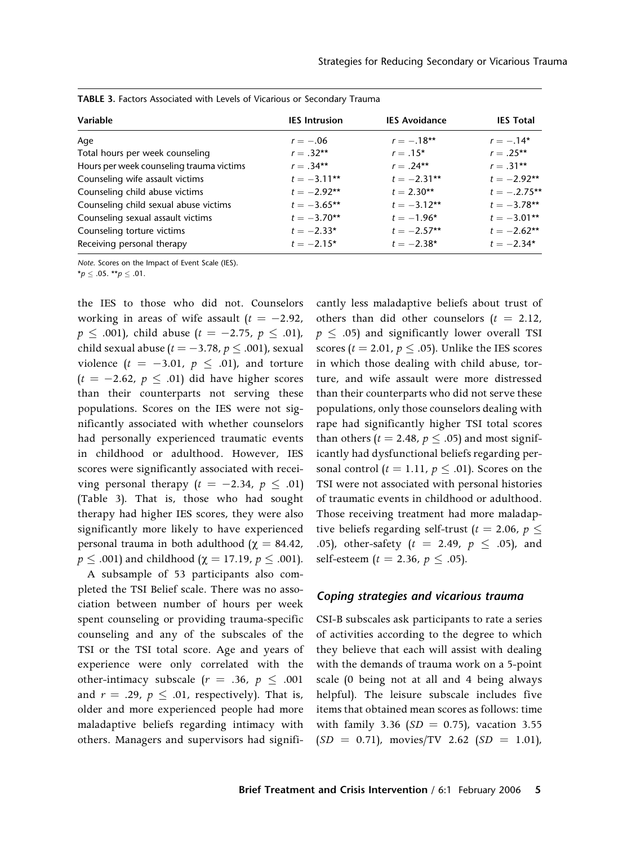| Variable                                 | <b>IES</b> Intrusion | <b>IES Avoidance</b> | <b>IES Total</b> |
|------------------------------------------|----------------------|----------------------|------------------|
|                                          |                      |                      |                  |
| Age                                      | $r = -.06$           | $r = -.18**$         | $r = -.14*$      |
| Total hours per week counseling          | $r = .32**$          | $r = .15*$           | $r = .25**$      |
| Hours per week counseling trauma victims | $r = .34**$          | $r = .24**$          | $r = .31**$      |
| Counseling wife assault victims          | $t = -3.11***$       | $t = -2.31**$        | $t = -2.92**$    |
| Counseling child abuse victims           | $t = -2.92**$        | $t = 2.30**$         | $t = -.2.75***$  |
| Counseling child sexual abuse victims    | $t = -3.65**$        | $t = -3.12**$        | $t = -3.78**$    |
| Counseling sexual assault victims        | $t = -3.70**$        | $t = -1.96*$         | $t = -3.01**$    |
| Counseling torture victims               | $t = -2.33*$         | $t = -2.57**$        | $t = -2.62**$    |
| Receiving personal therapy               | $t = -2.15*$         | $t = -2.38*$         | $t = -2.34*$     |

TABLE 3. Factors Associated with Levels of Vicarious or Secondary Trauma

Note. Scores on the Impact of Event Scale (IES).

 $^{\star}p$   $\leq$  .05.  $^{\star\star}p$   $\leq$  .01.

the IES to those who did not. Counselors working in areas of wife assault  $(t = -2.92,$  $p\,\leq\,$  .001), child abuse ( $t\,=\,-2.75,\;p\,\leq\,.01$ ), child sexual abuse ( $t=-3.78$ ,  $p\leq .001$ ), sexual violence  $(t = -3.01, p \le .01)$ , and torture  $(t = -2.62, p \leq .01)$  did have higher scores than their counterparts not serving these populations. Scores on the IES were not significantly associated with whether counselors had personally experienced traumatic events in childhood or adulthood. However, IES scores were significantly associated with receiving personal therapy  $(t = -2.34, p \leq .01)$ (Table 3). That is, those who had sought therapy had higher IES scores, they were also significantly more likely to have experienced personal trauma in both adulthood ( $\chi = 84.42$ ,  $p \leq$  .001) and childhood ( $\chi =$  17.19,  $p \leq$  .001).

A subsample of 53 participants also completed the TSI Belief scale. There was no association between number of hours per week spent counseling or providing trauma-specific counseling and any of the subscales of the TSI or the TSI total score. Age and years of experience were only correlated with the other-intimacy subscale ( $r = .36$ ,  $p \le .001$ and  $r = .29$ ,  $p \le .01$ , respectively). That is, older and more experienced people had more maladaptive beliefs regarding intimacy with others. Managers and supervisors had significantly less maladaptive beliefs about trust of others than did other counselors  $(t = 2.12,$  $p~\leq~.05)$  and significantly lower overall TSI scores ( $t=$  2.01,  $p \leq$  .05). Unlike the IES scores in which those dealing with child abuse, torture, and wife assault were more distressed than their counterparts who did not serve these populations, only those counselors dealing with rape had significantly higher TSI total scores than others ( $t = 2.48$ ,  $p \leq .05$ ) and most significantly had dysfunctional beliefs regarding personal control ( $t = 1.11$ ,  $p \le .01$ ). Scores on the TSI were not associated with personal histories of traumatic events in childhood or adulthood. Those receiving treatment had more maladaptive beliefs regarding self-trust ( $t = 2.06$ ,  $p \leq$ .05), other-safety ( $t = 2.49, p \le .05$ ), and self-esteem (*t* = 2.36, *p*  $\leq$  .05).

## Coping strategies and vicarious trauma

CSI-B subscales ask participants to rate a series of activities according to the degree to which they believe that each will assist with dealing with the demands of trauma work on a 5-point scale (0 being not at all and 4 being always helpful). The leisure subscale includes five items that obtained mean scores as follows: time with family 3.36 ( $SD = 0.75$ ), vacation 3.55  $(SD = 0.71)$ , movies/TV 2.62  $(SD = 1.01)$ ,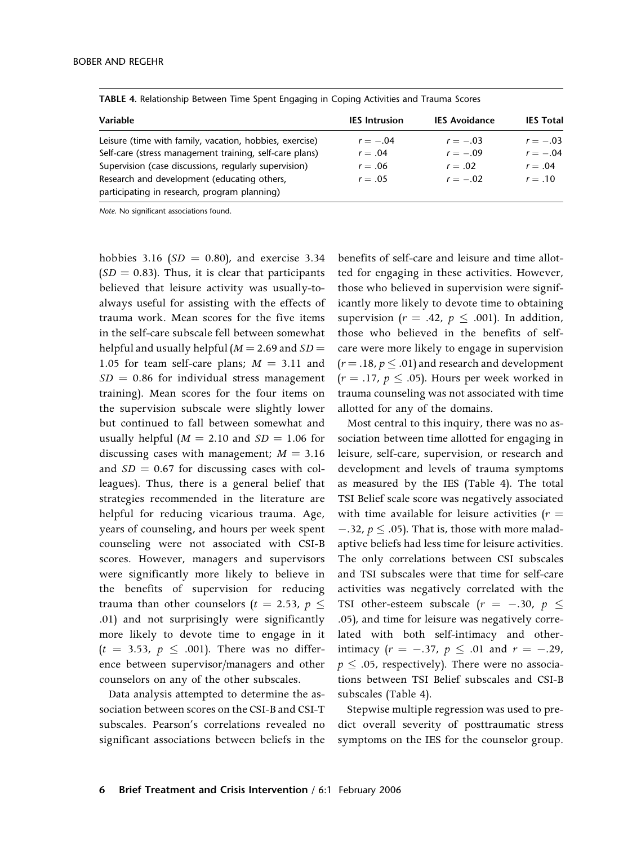| Variable                                                                                    | <b>IES</b> Intrusion | <b>IES Avoidance</b> | <b>IES Total</b> |
|---------------------------------------------------------------------------------------------|----------------------|----------------------|------------------|
| Leisure (time with family, vacation, hobbies, exercise)                                     | $r = -.04$           | $r = -.03$           | $r = -.03$       |
| Self-care (stress management training, self-care plans)                                     | $r = .04$            | $r = -.09$           | $r = -.04$       |
| Supervision (case discussions, regularly supervision)                                       | $r = .06$            | $r = .02$            | $r=.04$          |
| Research and development (educating others,<br>participating in research, program planning) | $r=.05$              | $r = -.02$           | $r=.10$          |

TABLE 4. Relationship Between Time Spent Engaging in Coping Activities and Trauma Scores

Note. No significant associations found.

hobbies 3.16 ( $SD = 0.80$ ), and exercise 3.34  $(SD = 0.83)$ . Thus, it is clear that participants believed that leisure activity was usually-toalways useful for assisting with the effects of trauma work. Mean scores for the five items in the self-care subscale fell between somewhat helpful and usually helpful ( $M = 2.69$  and  $SD =$ 1.05 for team self-care plans;  $M = 3.11$  and  $SD = 0.86$  for individual stress management training). Mean scores for the four items on the supervision subscale were slightly lower but continued to fall between somewhat and usually helpful ( $M = 2.10$  and  $SD = 1.06$  for discussing cases with management;  $M = 3.16$ and  $SD = 0.67$  for discussing cases with colleagues). Thus, there is a general belief that strategies recommended in the literature are helpful for reducing vicarious trauma. Age, years of counseling, and hours per week spent counseling were not associated with CSI-B scores. However, managers and supervisors were significantly more likely to believe in the benefits of supervision for reducing trauma than other counselors ( $t$  = 2.53,  $p$   $\leq$ .01) and not surprisingly were significantly more likely to devote time to engage in it  $(t = 3.53, p \le .001)$ . There was no difference between supervisor/managers and other counselors on any of the other subscales.

Data analysis attempted to determine the association between scores on the CSI-B and CSI-T subscales. Pearson's correlations revealed no significant associations between beliefs in the

benefits of self-care and leisure and time allotted for engaging in these activities. However, those who believed in supervision were significantly more likely to devote time to obtaining supervision ( $r = .42$ ,  $p \le .001$ ). In addition, those who believed in the benefits of selfcare were more likely to engage in supervision  $(r = .18, p \leq .01)$  and research and development  $(r=.17, p \le .05)$ . Hours per week worked in trauma counseling was not associated with time allotted for any of the domains.

Most central to this inquiry, there was no association between time allotted for engaging in leisure, self-care, supervision, or research and development and levels of trauma symptoms as measured by the IES (Table 4). The total TSI Belief scale score was negatively associated with time available for leisure activities  $(r =$  $-0.32$ ,  $p \le 0.05$ ). That is, those with more maladaptive beliefs had less time for leisure activities. The only correlations between CSI subscales and TSI subscales were that time for self-care activities was negatively correlated with the TSI other-esteem subscale  $(r = -.30, p \le$ .05), and time for leisure was negatively correlated with both self-intimacy and otherintimacy ( $r = -.37$ ,  $p \le .01$  and  $r = -.29$ ,  $p \leq .05$ , respectively). There were no associations between TSI Belief subscales and CSI-B subscales (Table 4).

Stepwise multiple regression was used to predict overall severity of posttraumatic stress symptoms on the IES for the counselor group.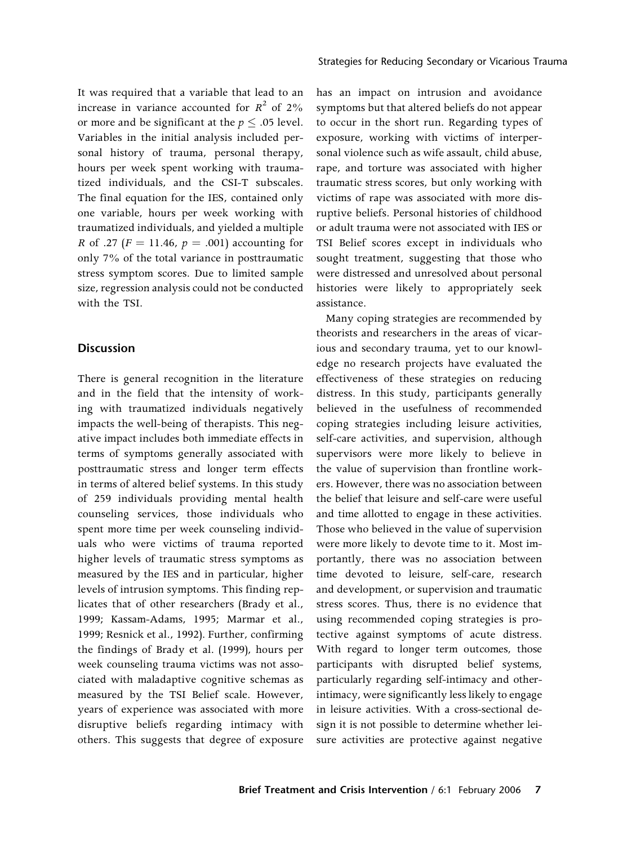It was required that a variable that lead to an increase in variance accounted for  $R^2$  of 2% or more and be significant at the  $p \leq .05$  level. Variables in the initial analysis included personal history of trauma, personal therapy, hours per week spent working with traumatized individuals, and the CSI-T subscales. The final equation for the IES, contained only one variable, hours per week working with traumatized individuals, and yielded a multiple *R* of .27 ( $F = 11.46$ ,  $p = .001$ ) accounting for only 7% of the total variance in posttraumatic stress symptom scores. Due to limited sample size, regression analysis could not be conducted with the TSI.

## **Discussion**

There is general recognition in the literature and in the field that the intensity of working with traumatized individuals negatively impacts the well-being of therapists. This negative impact includes both immediate effects in terms of symptoms generally associated with posttraumatic stress and longer term effects in terms of altered belief systems. In this study of 259 individuals providing mental health counseling services, those individuals who spent more time per week counseling individuals who were victims of trauma reported higher levels of traumatic stress symptoms as measured by the IES and in particular, higher levels of intrusion symptoms. This finding replicates that of other researchers (Brady et al., 1999; Kassam-Adams, 1995; Marmar et al., 1999; Resnick et al., 1992). Further, confirming the findings of Brady et al. (1999), hours per week counseling trauma victims was not associated with maladaptive cognitive schemas as measured by the TSI Belief scale. However, years of experience was associated with more disruptive beliefs regarding intimacy with others. This suggests that degree of exposure

has an impact on intrusion and avoidance symptoms but that altered beliefs do not appear to occur in the short run. Regarding types of exposure, working with victims of interpersonal violence such as wife assault, child abuse, rape, and torture was associated with higher traumatic stress scores, but only working with victims of rape was associated with more disruptive beliefs. Personal histories of childhood or adult trauma were not associated with IES or TSI Belief scores except in individuals who sought treatment, suggesting that those who were distressed and unresolved about personal histories were likely to appropriately seek assistance.

Many coping strategies are recommended by theorists and researchers in the areas of vicarious and secondary trauma, yet to our knowledge no research projects have evaluated the effectiveness of these strategies on reducing distress. In this study, participants generally believed in the usefulness of recommended coping strategies including leisure activities, self-care activities, and supervision, although supervisors were more likely to believe in the value of supervision than frontline workers. However, there was no association between the belief that leisure and self-care were useful and time allotted to engage in these activities. Those who believed in the value of supervision were more likely to devote time to it. Most importantly, there was no association between time devoted to leisure, self-care, research and development, or supervision and traumatic stress scores. Thus, there is no evidence that using recommended coping strategies is protective against symptoms of acute distress. With regard to longer term outcomes, those participants with disrupted belief systems, particularly regarding self-intimacy and otherintimacy, were significantly less likely to engage in leisure activities. With a cross-sectional design it is not possible to determine whether leisure activities are protective against negative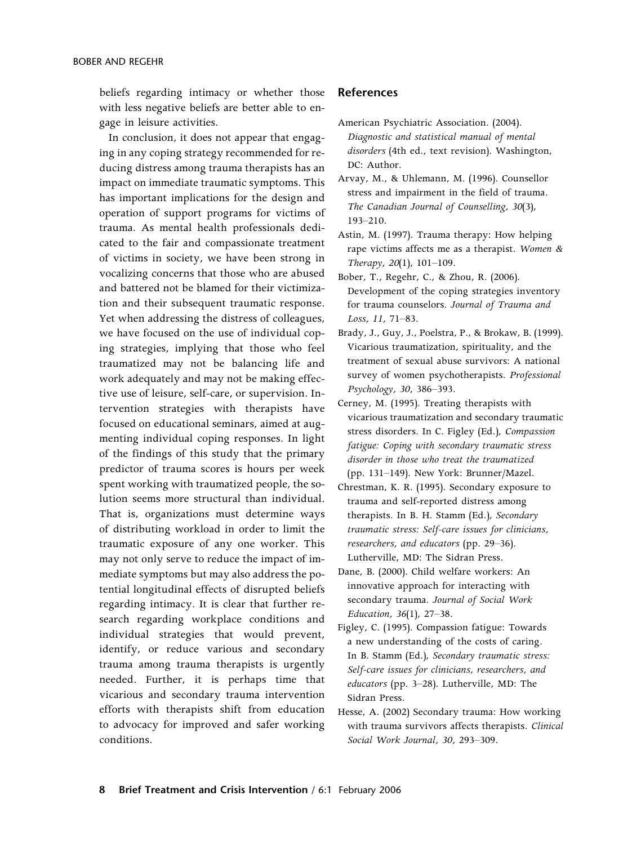beliefs regarding intimacy or whether those with less negative beliefs are better able to engage in leisure activities.

In conclusion, it does not appear that engaging in any coping strategy recommended for reducing distress among trauma therapists has an impact on immediate traumatic symptoms. This has important implications for the design and operation of support programs for victims of trauma. As mental health professionals dedicated to the fair and compassionate treatment of victims in society, we have been strong in vocalizing concerns that those who are abused and battered not be blamed for their victimization and their subsequent traumatic response. Yet when addressing the distress of colleagues, we have focused on the use of individual coping strategies, implying that those who feel traumatized may not be balancing life and work adequately and may not be making effective use of leisure, self-care, or supervision. Intervention strategies with therapists have focused on educational seminars, aimed at augmenting individual coping responses. In light of the findings of this study that the primary predictor of trauma scores is hours per week spent working with traumatized people, the solution seems more structural than individual. That is, organizations must determine ways of distributing workload in order to limit the traumatic exposure of any one worker. This may not only serve to reduce the impact of immediate symptoms but may also address the potential longitudinal effects of disrupted beliefs regarding intimacy. It is clear that further research regarding workplace conditions and individual strategies that would prevent, identify, or reduce various and secondary trauma among trauma therapists is urgently needed. Further, it is perhaps time that vicarious and secondary trauma intervention efforts with therapists shift from education to advocacy for improved and safer working conditions.

#### References

- American Psychiatric Association. (2004). *Diagnostic and statistical manual of mental disorders* (4th ed., text revision). Washington, DC: Author.
- Arvay, M., & Uhlemann, M. (1996). Counsellor stress and impairment in the field of trauma. *The Canadian Journal of Counselling, 30*(3), 193–210.
- Astin, M. (1997). Trauma therapy: How helping rape victims affects me as a therapist. *Women & Therapy, 20*(1), 101–109.
- Bober, T., Regehr, C., & Zhou, R. (2006). Development of the coping strategies inventory for trauma counselors. *Journal of Trauma and Loss, 11,* 71–83.
- Brady, J., Guy, J., Poelstra, P., & Brokaw, B. (1999). Vicarious traumatization, spirituality, and the treatment of sexual abuse survivors: A national survey of women psychotherapists. *Professional Psychology, 30*, 386–393.
- Cerney, M. (1995). Treating therapists with vicarious traumatization and secondary traumatic stress disorders. In C. Figley (Ed.), *Compassion fatigue: Coping with secondary traumatic stress disorder in those who treat the traumatized* (pp. 131–149). New York: Brunner/Mazel.
- Chrestman, K. R. (1995). Secondary exposure to trauma and self-reported distress among therapists. In B. H. Stamm (Ed.), *Secondary traumatic stress: Self-care issues for clinicians, researchers, and educators* (pp. 29–36). Lutherville, MD: The Sidran Press.
- Dane, B. (2000). Child welfare workers: An innovative approach for interacting with secondary trauma. *Journal of Social Work Education, 36*(1), 27–38.
- Figley, C. (1995). Compassion fatigue: Towards a new understanding of the costs of caring. In B. Stamm (Ed.), *Secondary traumatic stress: Self-care issues for clinicians, researchers, and educators* (pp. 3–28). Lutherville, MD: The Sidran Press.
- Hesse, A. (2002) Secondary trauma: How working with trauma survivors affects therapists. *Clinical Social Work Journal, 30,* 293–309.